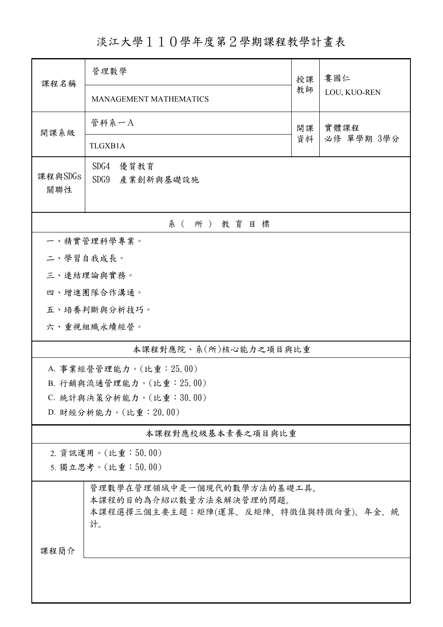淡江大學110學年度第2學期課程教學計畫表

| 課程名稱                  | 管理數學                                                  |          | 婁國仁                |  |  |  |
|-----------------------|-------------------------------------------------------|----------|--------------------|--|--|--|
|                       | <b>MANAGEMENT MATHEMATICS</b>                         | 教師       | LOU, KUO-REN       |  |  |  |
| 開課系級                  | 管科系一A                                                 | 開課<br>資料 | 實體課程<br>必修 單學期 3學分 |  |  |  |
|                       | TLGXB1A                                               |          |                    |  |  |  |
| 課程與SDGs<br>關聯性        | SDG4<br>優質教育<br>SDG9 產業創新與基礎設施                        |          |                    |  |  |  |
|                       | 系(所)教育目標                                              |          |                    |  |  |  |
|                       | 一、精實管理科學專業。                                           |          |                    |  |  |  |
| 二、學習自我成長。             |                                                       |          |                    |  |  |  |
|                       | 三、連結理論與實務。                                            |          |                    |  |  |  |
|                       | 四、增進團隊合作溝通。                                           |          |                    |  |  |  |
|                       | 五、培養判斷與分析技巧。                                          |          |                    |  |  |  |
|                       | 六、重視組織永續經營。                                           |          |                    |  |  |  |
| 本課程對應院、系(所)核心能力之項目與比重 |                                                       |          |                    |  |  |  |
|                       | A. 事業經營管理能力。(比重: 25.00)                               |          |                    |  |  |  |
|                       | B. 行銷與流通管理能力。(比重: 25.00)                              |          |                    |  |  |  |
|                       | C. 統計與決策分析能力。(比重:30.00)<br>D. 財經分析能力。(比重: 20.00)      |          |                    |  |  |  |
|                       |                                                       |          |                    |  |  |  |
|                       | 本課程對應校級基本素養之項目與比重                                     |          |                    |  |  |  |
|                       | 2. 資訊運用。(比重:50.00)                                    |          |                    |  |  |  |
|                       | 5. 獨立思考。(比重:50.00)                                    |          |                    |  |  |  |
|                       | 管理數學在管理領域中是一個現代的數學方法的基礎工具。<br>本課程的目的為介紹以數量方法來解決管理的問題。 |          |                    |  |  |  |
|                       | 本課程選擇三個主要主題:矩陣(運算、反矩陣、特徵值與特徵向量)、年金、統<br>計。            |          |                    |  |  |  |
| 課程簡介                  |                                                       |          |                    |  |  |  |
|                       |                                                       |          |                    |  |  |  |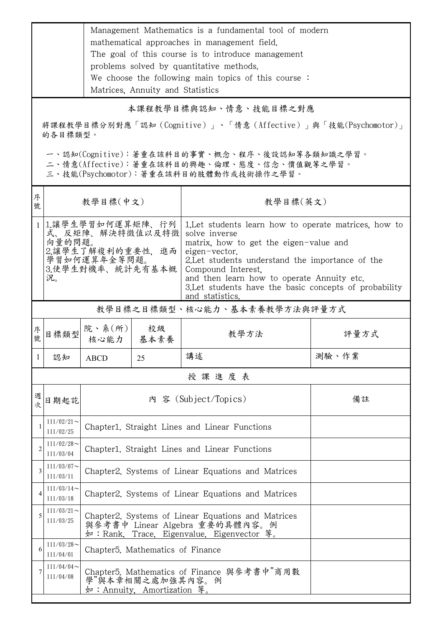|                                                                         | Management Mathematics is a fundamental tool of modern |  |
|-------------------------------------------------------------------------|--------------------------------------------------------|--|
|                                                                         | mathematical approaches in management field.           |  |
|                                                                         | The goal of this course is to introduce management     |  |
|                                                                         | problems solved by quantitative methods.               |  |
|                                                                         | We choose the following main topics of this course:    |  |
|                                                                         | Matrices, Annuity and Statistics                       |  |
| 本課程教學目標與認知、情意、技能目標之對應                                                   |                                                        |  |
| 將課程教學目標分別對應「認知(Cognitive)」、「情意(Affective)」與「技能(Psychomotor)」<br>的各目標類型。 |                                                        |  |

一、認知(Cognitive):著重在該科目的事實、概念、程序、後設認知等各類知識之學習。

二、情意(Affective):著重在該科目的興趣、倫理、態度、信念、價值觀等之學習。

三、技能(Psychomotor):著重在該科目的肢體動作或技術操作之學習。

| 序<br>號         | 教學目標(中文)                                                                                                      |                                                                                                                                    |            | 教學目標(英文)                                                                                                                                                                                                                                                                                                                               |       |  |
|----------------|---------------------------------------------------------------------------------------------------------------|------------------------------------------------------------------------------------------------------------------------------------|------------|----------------------------------------------------------------------------------------------------------------------------------------------------------------------------------------------------------------------------------------------------------------------------------------------------------------------------------------|-------|--|
| 1              | 1.讓學生學習如何運算矩陣、行列 <br>式、反矩陣、解決特徵值以及特徵<br>向量的問題。<br>2.讓學生了解複利的重要性, 進而<br>學習如何運算年金等問題。<br>3.使學生對機率、統計先有基本概<br>况。 |                                                                                                                                    |            | 1. Let students learn how to operate matrices, how to<br>solve inverse<br>matrix, how to get the eigen-value and<br>eigen-vector.<br>2. Let students understand the importance of the<br>Compound Interest.<br>and then learn how to operate Annuity etc.<br>3. Let students have the basic concepts of probability<br>and statistics. |       |  |
|                |                                                                                                               |                                                                                                                                    |            | 教學目標之目標類型、核心能力、基本素養教學方法與評量方式                                                                                                                                                                                                                                                                                                           |       |  |
| 序號             | 目標類型                                                                                                          | 院、系 $(\kappa)$  <br>核心能力                                                                                                           | 校級<br>基本素養 | 教學方法                                                                                                                                                                                                                                                                                                                                   | 評量方式  |  |
| 1              | 認知                                                                                                            | <b>ABCD</b>                                                                                                                        | 25         | 講述                                                                                                                                                                                                                                                                                                                                     | 測驗、作業 |  |
|                | 授課進度表                                                                                                         |                                                                                                                                    |            |                                                                                                                                                                                                                                                                                                                                        |       |  |
| 週<br>次         | 日期起訖                                                                                                          |                                                                                                                                    |            | 內 容 (Subject/Topics)                                                                                                                                                                                                                                                                                                                   | 備註    |  |
| 1              | $111/02/21$ ~<br>111/02/25                                                                                    | Chapter1. Straight Lines and Linear Functions                                                                                      |            |                                                                                                                                                                                                                                                                                                                                        |       |  |
| $\overline{c}$ | $111/02/28$ ~<br>111/03/04                                                                                    | Chapter1. Straight Lines and Linear Functions                                                                                      |            |                                                                                                                                                                                                                                                                                                                                        |       |  |
| 3              | $111/03/07$ ~<br>111/03/11                                                                                    | Chapter2. Systems of Linear Equations and Matrices                                                                                 |            |                                                                                                                                                                                                                                                                                                                                        |       |  |
| 4              | $111/03/14$ ~<br>111/03/18                                                                                    | Chapter2. Systems of Linear Equations and Matrices                                                                                 |            |                                                                                                                                                                                                                                                                                                                                        |       |  |
| 5              | $111/03/21$ ~<br>111/03/25                                                                                    | Chapter2. Systems of Linear Equations and Matrices<br>與參考書中 Linear Algebra 重要的具體內容。例<br>如: Rank, Trace, Eigenvalue, Eigenvector 等。 |            |                                                                                                                                                                                                                                                                                                                                        |       |  |
| 6              | $111/03/28$ ~<br>111/04/01                                                                                    | Chapter <sub>5</sub> . Mathematics of Finance                                                                                      |            |                                                                                                                                                                                                                                                                                                                                        |       |  |
|                | $111/04/04$ ~<br>111/04/08                                                                                    | Chapter5. Mathematics of Finance 與參考書中"商用數<br>學"與本章相關之處加強其內容。例<br>如: Annuity. Amortization 等。                                      |            |                                                                                                                                                                                                                                                                                                                                        |       |  |